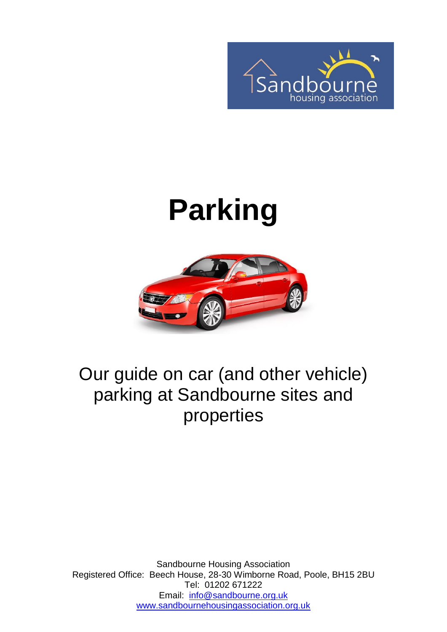

# **Parking**



#### Our guide on car (and other vehicle) parking at Sandbourne sites and properties

Sandbourne Housing Association Registered Office: Beech House, 28-30 Wimborne Road, Poole, BH15 2BU Tel: 01202 671222 Email: [info@sandbourne.org.uk](mailto:info@sandbourne.org.uk) [www.sandbournehousingassociation.org.uk](http://www.sandbournehousingassociation.org.uk/)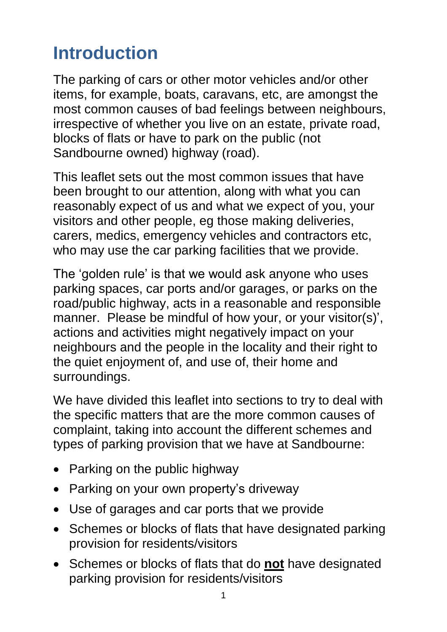# **Introduction**

The parking of cars or other motor vehicles and/or other items, for example, boats, caravans, etc, are amongst the most common causes of bad feelings between neighbours, irrespective of whether you live on an estate, private road, blocks of flats or have to park on the public (not Sandbourne owned) highway (road).

This leaflet sets out the most common issues that have been brought to our attention, along with what you can reasonably expect of us and what we expect of you, your visitors and other people, eg those making deliveries, carers, medics, emergency vehicles and contractors etc, who may use the car parking facilities that we provide.

The 'golden rule' is that we would ask anyone who uses parking spaces, car ports and/or garages, or parks on the road/public highway, acts in a reasonable and responsible manner. Please be mindful of how your, or your visitor(s)', actions and activities might negatively impact on your neighbours and the people in the locality and their right to the quiet enjoyment of, and use of, their home and surroundings.

We have divided this leaflet into sections to try to deal with the specific matters that are the more common causes of complaint, taking into account the different schemes and types of parking provision that we have at Sandbourne:

- Parking on the public highway
- Parking on your own property's driveway
- Use of garages and car ports that we provide
- Schemes or blocks of flats that have designated parking provision for residents/visitors
- Schemes or blocks of flats that do **not** have designated parking provision for residents/visitors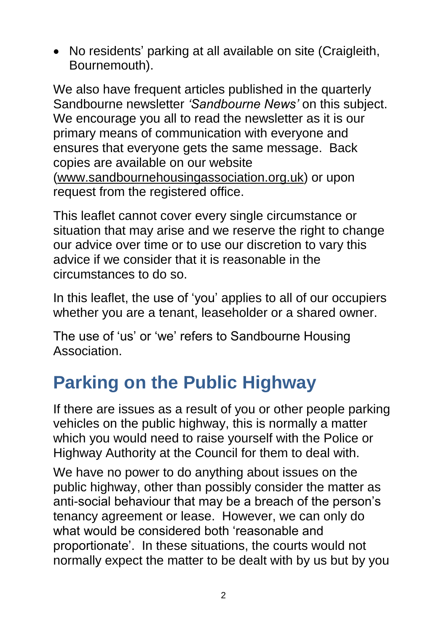• No residents' parking at all available on site (Craigleith, Bournemouth).

We also have frequent articles published in the quarterly Sandbourne newsletter *'Sandbourne News'* on this subject. We encourage you all to read the newsletter as it is our primary means of communication with everyone and ensures that everyone gets the same message. Back copies are available on our website [\(www.sandbournehousingassociation.org.uk\)](http://www.sandbournehousingassociation.org.uk/) or upon request from the registered office.

This leaflet cannot cover every single circumstance or situation that may arise and we reserve the right to change our advice over time or to use our discretion to vary this advice if we consider that it is reasonable in the circumstances to do so.

In this leaflet, the use of 'you' applies to all of our occupiers whether you are a tenant, leaseholder or a shared owner.

The use of 'us' or 'we' refers to Sandbourne Housing Association.

## **Parking on the Public Highway**

If there are issues as a result of you or other people parking vehicles on the public highway, this is normally a matter which you would need to raise yourself with the Police or Highway Authority at the Council for them to deal with.

We have no power to do anything about issues on the public highway, other than possibly consider the matter as anti-social behaviour that may be a breach of the person's tenancy agreement or lease. However, we can only do what would be considered both 'reasonable and proportionate'. In these situations, the courts would not normally expect the matter to be dealt with by us but by you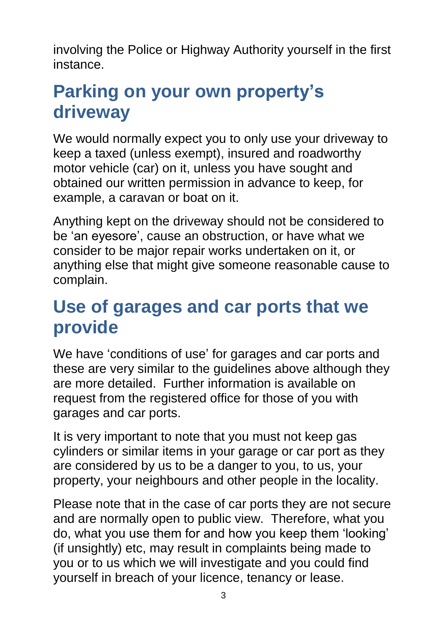involving the Police or Highway Authority yourself in the first instance.

### **Parking on your own property's driveway**

We would normally expect you to only use your driveway to keep a taxed (unless exempt), insured and roadworthy motor vehicle (car) on it, unless you have sought and obtained our written permission in advance to keep, for example, a caravan or boat on it.

Anything kept on the driveway should not be considered to be 'an eyesore', cause an obstruction, or have what we consider to be major repair works undertaken on it, or anything else that might give someone reasonable cause to complain.

#### **Use of garages and car ports that we provide**

We have 'conditions of use' for garages and car ports and these are very similar to the guidelines above although they are more detailed. Further information is available on request from the registered office for those of you with garages and car ports.

It is very important to note that you must not keep gas cylinders or similar items in your garage or car port as they are considered by us to be a danger to you, to us, your property, your neighbours and other people in the locality.

Please note that in the case of car ports they are not secure and are normally open to public view. Therefore, what you do, what you use them for and how you keep them 'looking' (if unsightly) etc, may result in complaints being made to you or to us which we will investigate and you could find yourself in breach of your licence, tenancy or lease.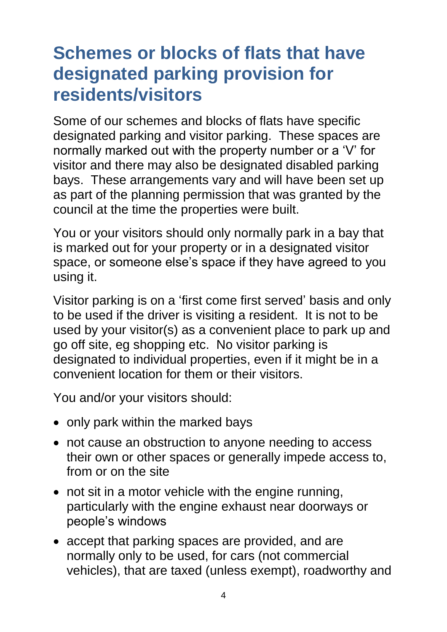#### **Schemes or blocks of flats that have designated parking provision for residents/visitors**

Some of our schemes and blocks of flats have specific designated parking and visitor parking. These spaces are normally marked out with the property number or a 'V' for visitor and there may also be designated disabled parking bays. These arrangements vary and will have been set up as part of the planning permission that was granted by the council at the time the properties were built.

You or your visitors should only normally park in a bay that is marked out for your property or in a designated visitor space, or someone else's space if they have agreed to you using it.

Visitor parking is on a 'first come first served' basis and only to be used if the driver is visiting a resident. It is not to be used by your visitor(s) as a convenient place to park up and go off site, eg shopping etc. No visitor parking is designated to individual properties, even if it might be in a convenient location for them or their visitors.

You and/or your visitors should:

- only park within the marked bays
- not cause an obstruction to anyone needing to access their own or other spaces or generally impede access to, from or on the site
- not sit in a motor vehicle with the engine running, particularly with the engine exhaust near doorways or people's windows
- accept that parking spaces are provided, and are normally only to be used, for cars (not commercial vehicles), that are taxed (unless exempt), roadworthy and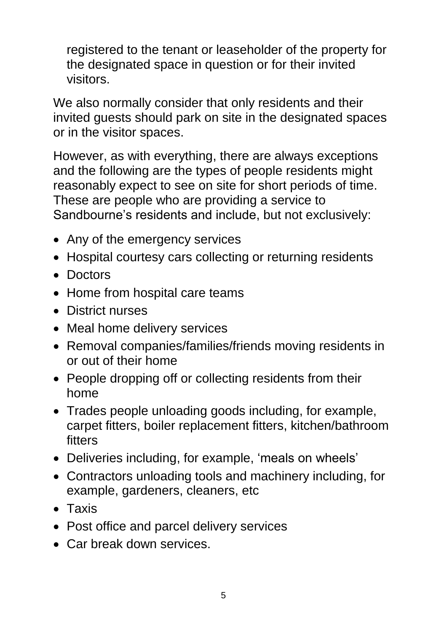registered to the tenant or leaseholder of the property for the designated space in question or for their invited visitors.

We also normally consider that only residents and their invited guests should park on site in the designated spaces or in the visitor spaces.

However, as with everything, there are always exceptions and the following are the types of people residents might reasonably expect to see on site for short periods of time. These are people who are providing a service to Sandbourne's residents and include, but not exclusively:

- Any of the emergency services
- Hospital courtesy cars collecting or returning residents
- Doctors
- Home from hospital care teams
- District nurses
- Meal home delivery services
- Removal companies/families/friends moving residents in or out of their home
- People dropping off or collecting residents from their home
- Trades people unloading goods including, for example, carpet fitters, boiler replacement fitters, kitchen/bathroom fitters
- Deliveries including, for example, 'meals on wheels'
- Contractors unloading tools and machinery including, for example, gardeners, cleaners, etc
- Taxis
- Post office and parcel delivery services
- Car break down services.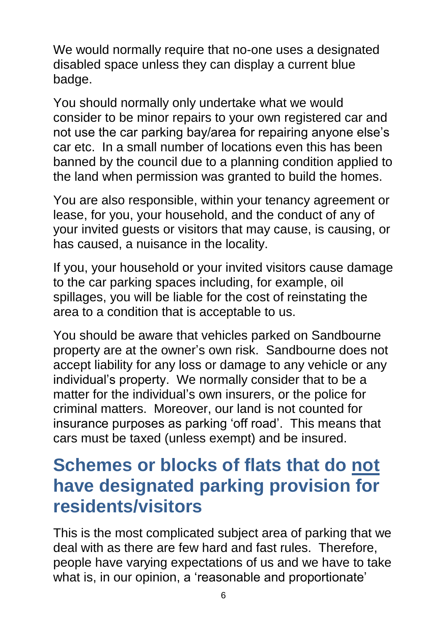We would normally require that no-one uses a designated disabled space unless they can display a current blue badge.

You should normally only undertake what we would consider to be minor repairs to your own registered car and not use the car parking bay/area for repairing anyone else's car etc. In a small number of locations even this has been banned by the council due to a planning condition applied to the land when permission was granted to build the homes.

You are also responsible, within your tenancy agreement or lease, for you, your household, and the conduct of any of your invited guests or visitors that may cause, is causing, or has caused, a nuisance in the locality.

If you, your household or your invited visitors cause damage to the car parking spaces including, for example, oil spillages, you will be liable for the cost of reinstating the area to a condition that is acceptable to us.

You should be aware that vehicles parked on Sandbourne property are at the owner's own risk. Sandbourne does not accept liability for any loss or damage to any vehicle or any individual's property. We normally consider that to be a matter for the individual's own insurers, or the police for criminal matters. Moreover, our land is not counted for insurance purposes as parking 'off road'. This means that cars must be taxed (unless exempt) and be insured.

#### **Schemes or blocks of flats that do not have designated parking provision for residents/visitors**

This is the most complicated subject area of parking that we deal with as there are few hard and fast rules. Therefore, people have varying expectations of us and we have to take what is, in our opinion, a 'reasonable and proportionate'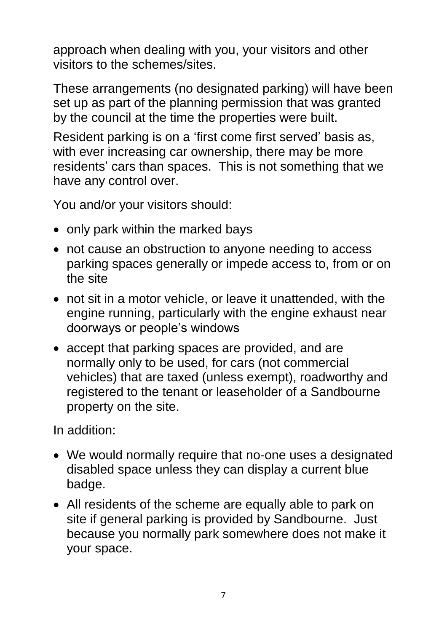approach when dealing with you, your visitors and other visitors to the schemes/sites.

These arrangements (no designated parking) will have been set up as part of the planning permission that was granted by the council at the time the properties were built.

Resident parking is on a 'first come first served' basis as, with ever increasing car ownership, there may be more residents' cars than spaces. This is not something that we have any control over.

You and/or your visitors should:

- only park within the marked bays
- not cause an obstruction to anyone needing to access parking spaces generally or impede access to, from or on the site
- not sit in a motor vehicle, or leave it unattended, with the engine running, particularly with the engine exhaust near doorways or people's windows
- accept that parking spaces are provided, and are normally only to be used, for cars (not commercial vehicles) that are taxed (unless exempt), roadworthy and registered to the tenant or leaseholder of a Sandbourne property on the site.

In addition:

- We would normally require that no-one uses a designated disabled space unless they can display a current blue badge.
- All residents of the scheme are equally able to park on site if general parking is provided by Sandbourne. Just because you normally park somewhere does not make it your space.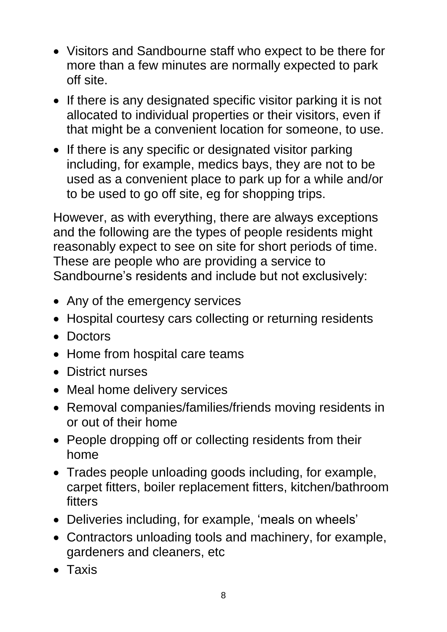- Visitors and Sandbourne staff who expect to be there for more than a few minutes are normally expected to park off site.
- If there is any designated specific visitor parking it is not allocated to individual properties or their visitors, even if that might be a convenient location for someone, to use.
- If there is any specific or designated visitor parking including, for example, medics bays, they are not to be used as a convenient place to park up for a while and/or to be used to go off site, eg for shopping trips.

However, as with everything, there are always exceptions and the following are the types of people residents might reasonably expect to see on site for short periods of time. These are people who are providing a service to Sandbourne's residents and include but not exclusively:

- Any of the emergency services
- Hospital courtesy cars collecting or returning residents
- Doctors
- Home from hospital care teams
- District nurses
- Meal home delivery services
- Removal companies/families/friends moving residents in or out of their home
- People dropping off or collecting residents from their home
- Trades people unloading goods including, for example, carpet fitters, boiler replacement fitters, kitchen/bathroom fitters
- Deliveries including, for example, 'meals on wheels'
- Contractors unloading tools and machinery, for example, gardeners and cleaners, etc
- Taxis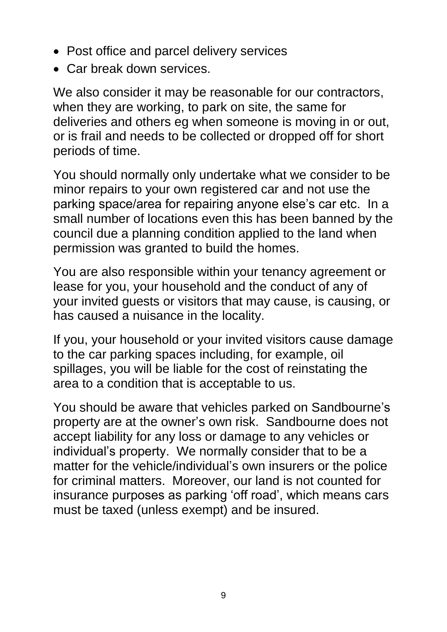- Post office and parcel delivery services
- Car break down services.

We also consider it may be reasonable for our contractors, when they are working, to park on site, the same for deliveries and others eg when someone is moving in or out, or is frail and needs to be collected or dropped off for short periods of time.

You should normally only undertake what we consider to be minor repairs to your own registered car and not use the parking space/area for repairing anyone else's car etc. In a small number of locations even this has been banned by the council due a planning condition applied to the land when permission was granted to build the homes.

You are also responsible within your tenancy agreement or lease for you, your household and the conduct of any of your invited guests or visitors that may cause, is causing, or has caused a nuisance in the locality.

If you, your household or your invited visitors cause damage to the car parking spaces including, for example, oil spillages, you will be liable for the cost of reinstating the area to a condition that is acceptable to us.

You should be aware that vehicles parked on Sandbourne's property are at the owner's own risk. Sandbourne does not accept liability for any loss or damage to any vehicles or individual's property. We normally consider that to be a matter for the vehicle/individual's own insurers or the police for criminal matters. Moreover, our land is not counted for insurance purposes as parking 'off road', which means cars must be taxed (unless exempt) and be insured.